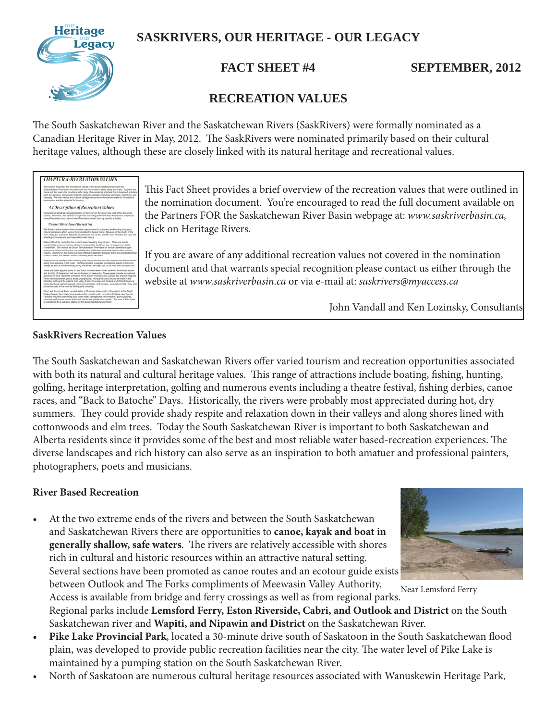

# **SASKRIVERS, OUR HERITAGE - OUR LEGACY**

**FACT SHEET #4 SEPTEMBER, 2012** 

# **RECREATION VALUES**

The South Saskatchewan River and the Saskatchewan Rivers (SaskRivers) were formally nominated as a Canadian Heritage River in May, 2012. The SaskRivers were nominated primarily based on their cultural heritage values, although these are closely linked with its natural heritage and recreational values.

| <b>CHAPTER 4: RECREATION VALUES</b>                                                                                                                                                                                                                                                                                                                                                                                                                                                                                                                                                                                                                           |
|---------------------------------------------------------------------------------------------------------------------------------------------------------------------------------------------------------------------------------------------------------------------------------------------------------------------------------------------------------------------------------------------------------------------------------------------------------------------------------------------------------------------------------------------------------------------------------------------------------------------------------------------------------------|
| This auction illescribes the recreational values of the South Saskalchewan and the<br>Saskatchawan Rhears and the reservoirs that have been created along the rivers. Together the<br>tivers and the reservoirs provide a wide range of recreational activities. Born dispersed activities<br>such as canoaing. Nking and hunting to intensive activities including swimming, porsiding, and<br>camping. The rich natural and cultural heritage resources enhance the quality of recreational<br>experiences and the potential for tourians.                                                                                                                  |
| 4.1 Description of Recreation Values                                                                                                                                                                                                                                                                                                                                                                                                                                                                                                                                                                                                                          |
| Recreational activities vary significantly on the river, on the reservoirs, and within the urban<br>centres. Therefore, this section is organized according to River-based Recreation, Reservoir-<br>based Recreation and Urban-based Recreation rather than by specific activities.                                                                                                                                                                                                                                                                                                                                                                          |
| Theme I River Rased Recreation                                                                                                                                                                                                                                                                                                                                                                                                                                                                                                                                                                                                                                |
| The South Saskatchewan River provides opportunities for canoeing and boating through a<br>rupped brobecape which yarias from grassland to boreal lones. Because of the depth of the<br>tiver valley. If a culti-ated flatands are generally not visible, and the river provides the user with<br>a feeling of remoterans and association with nature.                                                                                                                                                                                                                                                                                                         |
| Watercraft will be carried by the current when travelling downstream. There are ample<br>opportunities to launch canoes at niver-crossing sites, and there are no dangerous rapids<br>or walls falls. This makes the South Seskatchewan Rover ideal for nuvios canoosis to gain<br>experience before tackling the more challenging editioness canoping opportunities in other<br>regions. Boating on the rivers is a more difficult proposition because there are a limited rumber<br>of launch sites, and boaters must continually avoid sandbars.                                                                                                           |
| Angling coours mainly at their crossing sites that to the lack of public access and difficult terrain<br>along must sections of the nyers. Hunting remains a popular recreational activity in the river<br>safeys as ent as snownchiling during the winter, although use of the river itself is hazandous.                                                                                                                                                                                                                                                                                                                                                    |
| There are three regional parks on the South Saskatchewan River batween the Alberta border<br>and the City of Saskatoon that are not located on reservoirs. These parks provide recreational<br>activities for local residents. Lemslord Ferry, Eston Riverside and Outlook and District Regional<br>Parks have campules, picnic areas, playprounds, Nking and cross country old trails in the<br>attractive setting of the natural river valley. Eston Riverside and Outlook and Deblicit Regional<br>parks also have swimming pools, serviced campsites, got courses, and nature trails. They also<br>provide access to the river for fishing and canneirss. |
| Pike Lake Provincial Park, located within a 30-minute drive south of Saskatoon in the South<br>Saskatchinese flood plain, was developed to provide public recreation facilities near the oify.<br>Facilities include a swimming ooci, water alide, camponound, two beaches, picnic prounds.<br>mine-hole polf course, nature trails and canoe and paddle boat rentate. The level of Plks Lake<br>is maintained by a pumping station on the South Seskatchewan River.                                                                                                                                                                                          |

This Fact Sheet provides a brief overview of the recreation values that were outlined in the nomination document. You're encouraged to read the full document available on the Partners FOR the Saskatchewan River Basin webpage at: *www.saskriverbasin.ca,*  click on Heritage Rivers.

If you are aware of any additional recreation values not covered in the nomination document and that warrants special recognition please contact us either through the website at *www.saskriverbasin.ca* or via e-mail at: *saskrivers@myaccess.ca*

John Vandall and Ken Lozinsky, Consultants

# **SaskRivers Recreation Values**

The South Saskatchewan and Saskatchewan Rivers offer varied tourism and recreation opportunities associated with both its natural and cultural heritage values. This range of attractions include boating, fishing, hunting, golfing, heritage interpretation, golfing and numerous events including a theatre festival, fishing derbies, canoe races, and "Back to Batoche" Days. Historically, the rivers were probably most appreciated during hot, dry summers. They could provide shady respite and relaxation down in their valleys and along shores lined with cottonwoods and elm trees. Today the South Saskatchewan River is important to both Saskatchewan and Alberta residents since it provides some of the best and most reliable water based-recreation experiences. The diverse landscapes and rich history can also serve as an inspiration to both amatuer and professional painters, photographers, poets and musicians.

### **River Based Recreation**

• At the two extreme ends of the rivers and between the South Saskatchewan and Saskatchewan Rivers there are opportunities to **canoe, kayak and boat in generally shallow, safe waters**. The rivers are relatively accessible with shores rich in cultural and historic resources within an attractive natural setting. Several sections have been promoted as canoe routes and an ecotour guide exists between Outlook and The Forks compliments of Meewasin Valley Authority.



Near Lemsford Ferry

Access is available from bridge and ferry crossings as well as from regional parks. Regional parks include **Lemsford Ferry, Eston Riverside, Cabri, and Outlook and District** on the South Saskatchewan river and **Wapiti, and Nipawin and District** on the Saskatchewan River.

- Pike Lake Provincial Park, located a 30-minute drive south of Saskatoon in the South Saskatchewan flood plain, was developed to provide public recreation facilities near the city. The water level of Pike Lake is maintained by a pumping station on the South Saskatchewan River.
- North of Saskatoon are numerous cultural heritage resources associated with Wanuskewin Heritage Park,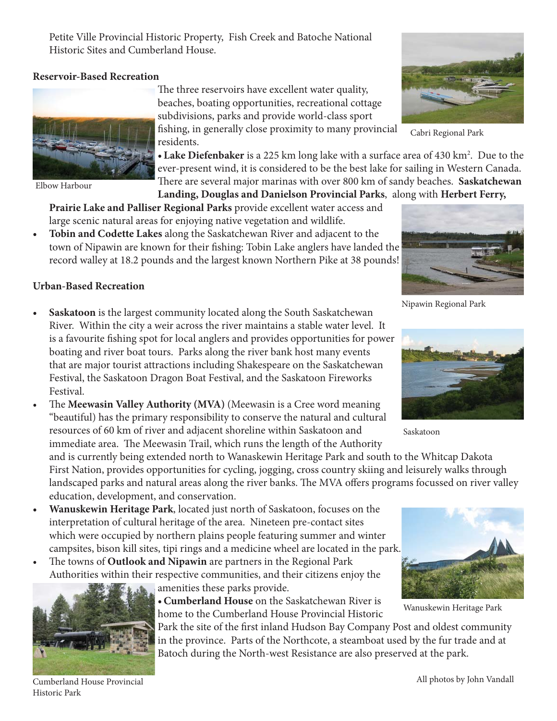Petite Ville Provincial Historic Property, Fish Creek and Batoche National Historic Sites and Cumberland House.

## **Reservoir-Based Recreation**



Elbow Harbour

The three reservoirs have excellent water quality, beaches, boating opportunities, recreational cottage subdivisions, parks and provide world-class sport

fishing, in generally close proximity to many provincial residents.

• Lake Diefenbaker is a 225 km long lake with a surface area of 430 km<sup>2</sup>. Due to the ever-present wind, it is considered to be the best lake for sailing in Western Canada. There are several major marinas with over 800 km of sandy beaches. Saskatchewan **Landing, Douglas and Danielson Provincial Parks**, along with **Herbert Ferry,** 

**Prairie Lake and Palliser Regional Parks** provide excellent water access and

large scenic natural areas for enjoying native vegetation and wildlife.

**• Tobin and Codette Lakes** along the Saskatchewan River and adjacent to the town of Nipawin are known for their fishing: Tobin Lake anglers have landed the record walley at 18.2 pounds and the largest known Northern Pike at 38 pounds!



Nipawin Regional Park

## **Urban-Based Recreation**

- **Saskatoon** is the largest community located along the South Saskatchewan River. Within the city a weir across the river maintains a stable water level. It is a favourite fishing spot for local anglers and provides opportunities for power boating and river boat tours. Parks along the river bank host many events that are major tourist attractions including Shakespeare on the Saskatchewan Festival, the Saskatoon Dragon Boat Festival, and the Saskatoon Fireworks Festival.
- The **Meewasin Valley Authority (MVA)** (Meewasin is a Cree word meaning "beautiful) has the primary responsibility to conserve the natural and cultural resources of 60 km of river and adjacent shoreline within Saskatoon and immediate area. The Meewasin Trail, which runs the length of the Authority

and is currently being extended north to Wanaskewin Heritage Park and south to the Whitcap Dakota First Nation, provides opportunities for cycling, jogging, cross country skiing and leisurely walks through landscaped parks and natural areas along the river banks. The MVA offers programs focussed on river valley education, development, and conservation.

- **Wanuskewin Heritage Park**, located just north of Saskatoon, focuses on the interpretation of cultural heritage of the area. Nineteen pre-contact sites which were occupied by northern plains people featuring summer and winter campsites, bison kill sites, tipi rings and a medicine wheel are located in the park.
- The towns of **Outlook and Nipawin** are partners in the Regional Park Authorities within their respective communities, and their citizens enjoy the



amenities these parks provide.

**• Cumberland House** on the Saskatchewan River is home to the Cumberland House Provincial Historic

Park the site of the first inland Hudson Bay Company Post and oldest community in the province. Parts of the Northcote, a steamboat used by the fur trade and at Batoch during the North-west Resistance are also preserved at the park.



Saskatoon



Wanuskewin Heritage Park

Cumberland House Provincial Historic Park



Cabri Regional Park